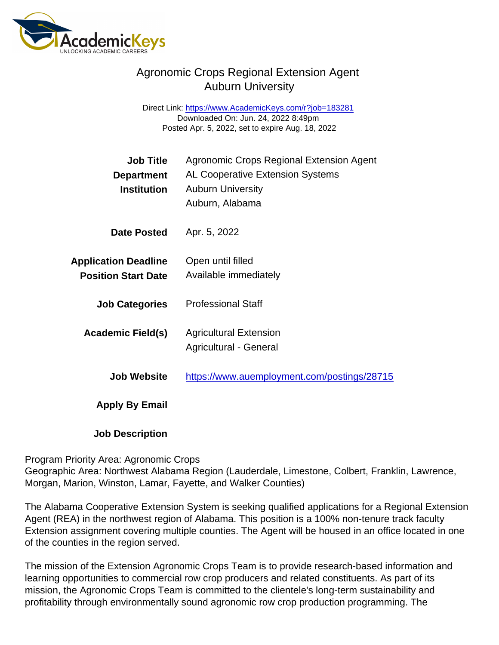## Agronomic Crops Regional Extension Agent Auburn University

Direct Link: <https://www.AcademicKeys.com/r?job=183281> Downloaded On: Jun. 24, 2022 8:49pm Posted Apr. 5, 2022, set to expire Aug. 18, 2022

| Job Title<br>Department                                   | Agronomic Crops Regional Extension Agent<br><b>AL Cooperative Extension Systems</b> |
|-----------------------------------------------------------|-------------------------------------------------------------------------------------|
| Institution                                               | <b>Auburn University</b><br>Auburn, Alabama                                         |
| Date Posted                                               | Apr. 5, 2022                                                                        |
| <b>Application Deadline</b><br><b>Position Start Date</b> | Open until filled<br>Available immediately                                          |
| <b>Job Categories</b>                                     | <b>Professional Staff</b>                                                           |
| Academic Field(s)                                         | <b>Agricultural Extension</b><br><b>Agricultural - General</b>                      |
| <b>Job Website</b>                                        | https://www.auemployment.com/postings/28715                                         |
| Apply By Email                                            |                                                                                     |
|                                                           |                                                                                     |

Job Description

Program Priority Area: Agronomic Crops

Geographic Area: Northwest Alabama Region (Lauderdale, Limestone, Colbert, Franklin, Lawrence, Morgan, Marion, Winston, Lamar, Fayette, and Walker Counties)

The Alabama Cooperative Extension System is seeking qualified applications for a Regional Extension Agent (REA) in the northwest region of Alabama. This position is a 100% non-tenure track faculty Extension assignment covering multiple counties. The Agent will be housed in an office located in one of the counties in the region served.

The mission of the Extension Agronomic Crops Team is to provide research-based information and learning opportunities to commercial row crop producers and related constituents. As part of its mission, the Agronomic Crops Team is committed to the clientele's long-term sustainability and profitability through environmentally sound agronomic row crop production programming. The